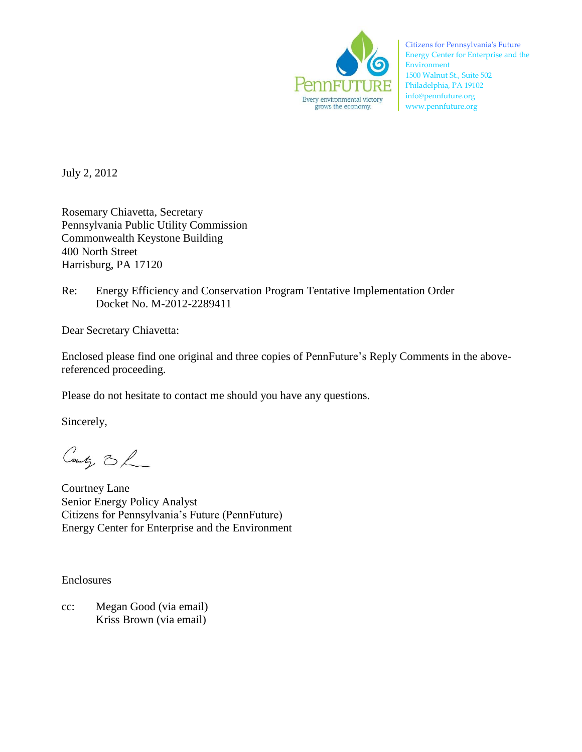

Citizens for Pennsylvania's Future Energy Center for Enterprise and the Environment 1500 Walnut St., Suite 502 Philadelphia, PA 19102 info@pennfuture.org www.pennfuture.org

July 2, 2012

Rosemary Chiavetta, Secretary Pennsylvania Public Utility Commission Commonwealth Keystone Building 400 North Street Harrisburg, PA 17120

Re: Energy Efficiency and Conservation Program Tentative Implementation Order Docket No. M-2012-2289411

Dear Secretary Chiavetta:

Enclosed please find one original and three copies of PennFuture's Reply Comments in the abovereferenced proceeding.

Please do not hesitate to contact me should you have any questions.

Sincerely,

County 3 h

Courtney Lane Senior Energy Policy Analyst Citizens for Pennsylvania's Future (PennFuture) Energy Center for Enterprise and the Environment

Enclosures

cc: Megan Good (via email) Kriss Brown (via email)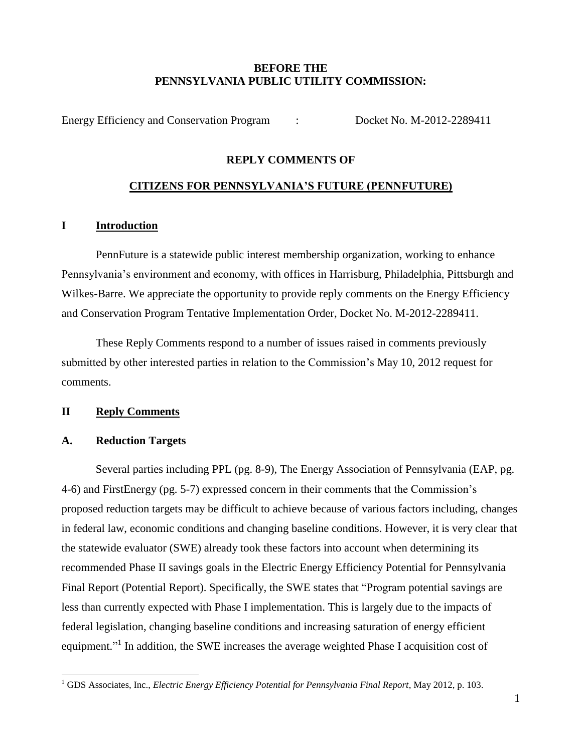# **BEFORE THE PENNSYLVANIA PUBLIC UTILITY COMMISSION:**

Energy Efficiency and Conservation Program : Docket No. M-2012-2289411

# **REPLY COMMENTS OF**

# **CITIZENS FOR PENNSYLVANIA'S FUTURE (PENNFUTURE)**

# **I Introduction**

PennFuture is a statewide public interest membership organization, working to enhance Pennsylvania's environment and economy, with offices in Harrisburg, Philadelphia, Pittsburgh and Wilkes-Barre. We appreciate the opportunity to provide reply comments on the Energy Efficiency and Conservation Program Tentative Implementation Order, Docket No. M-2012-2289411.

These Reply Comments respond to a number of issues raised in comments previously submitted by other interested parties in relation to the Commission's May 10, 2012 request for comments.

### **II Reply Comments**

### **A. Reduction Targets**

Several parties including PPL (pg. 8-9), The Energy Association of Pennsylvania (EAP, pg. 4-6) and FirstEnergy (pg. 5-7) expressed concern in their comments that the Commission's proposed reduction targets may be difficult to achieve because of various factors including, changes in federal law, economic conditions and changing baseline conditions. However, it is very clear that the statewide evaluator (SWE) already took these factors into account when determining its recommended Phase II savings goals in the Electric Energy Efficiency Potential for Pennsylvania Final Report (Potential Report). Specifically, the SWE states that "Program potential savings are less than currently expected with Phase I implementation. This is largely due to the impacts of federal legislation, changing baseline conditions and increasing saturation of energy efficient equipment."<sup>1</sup> In addition, the SWE increases the average weighted Phase I acquisition cost of

 $\overline{a}$ <sup>1</sup> GDS Associates, Inc., *Electric Energy Efficiency Potential for Pennsylvania Final Report*, May 2012, p. 103.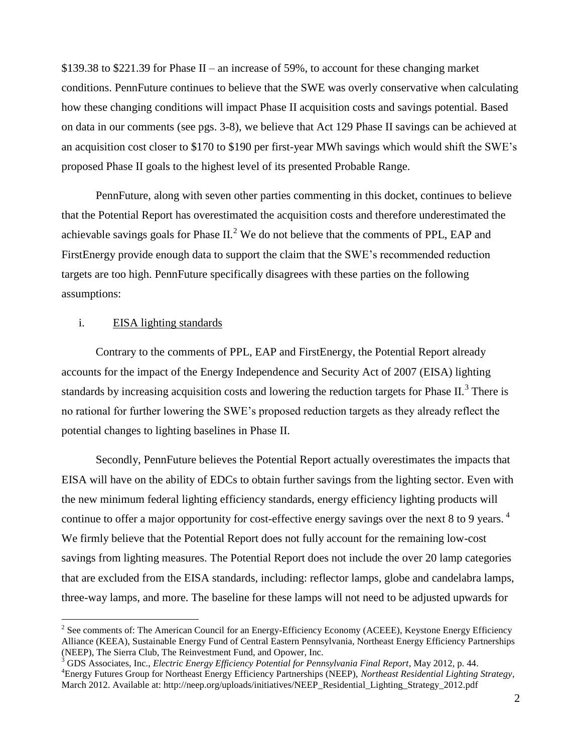\$139.38 to \$221.39 for Phase II – an increase of 59%, to account for these changing market conditions. PennFuture continues to believe that the SWE was overly conservative when calculating how these changing conditions will impact Phase II acquisition costs and savings potential. Based on data in our comments (see pgs. 3-8), we believe that Act 129 Phase II savings can be achieved at an acquisition cost closer to \$170 to \$190 per first-year MWh savings which would shift the SWE's proposed Phase II goals to the highest level of its presented Probable Range.

PennFuture, along with seven other parties commenting in this docket, continues to believe that the Potential Report has overestimated the acquisition costs and therefore underestimated the achievable savings goals for Phase  $II^2$ . We do not believe that the comments of PPL, EAP and FirstEnergy provide enough data to support the claim that the SWE's recommended reduction targets are too high. PennFuture specifically disagrees with these parties on the following assumptions:

### i. EISA lighting standards

 $\overline{a}$ 

Contrary to the comments of PPL, EAP and FirstEnergy, the Potential Report already accounts for the impact of the Energy Independence and Security Act of 2007 (EISA) lighting standards by increasing acquisition costs and lowering the reduction targets for Phase II. $3$  There is no rational for further lowering the SWE's proposed reduction targets as they already reflect the potential changes to lighting baselines in Phase II.

Secondly, PennFuture believes the Potential Report actually overestimates the impacts that EISA will have on the ability of EDCs to obtain further savings from the lighting sector. Even with the new minimum federal lighting efficiency standards, energy efficiency lighting products will continue to offer a major opportunity for cost-effective energy savings over the next 8 to 9 years.<sup>4</sup> We firmly believe that the Potential Report does not fully account for the remaining low-cost savings from lighting measures. The Potential Report does not include the over 20 lamp categories that are excluded from the EISA standards, including: reflector lamps, globe and candelabra lamps, three-way lamps, and more. The baseline for these lamps will not need to be adjusted upwards for

 $2^2$  See comments of: The American Council for an Energy-Efficiency Economy (ACEEE), Keystone Energy Efficiency Alliance (KEEA), Sustainable Energy Fund of Central Eastern Pennsylvania, Northeast Energy Efficiency Partnerships (NEEP), The Sierra Club, The Reinvestment Fund, and Opower, Inc.

<sup>3</sup> GDS Associates, Inc., *Electric Energy Efficiency Potential for Pennsylvania Final Report*, May 2012, p. 44. <sup>4</sup>Energy Futures Group for Northeast Energy Efficiency Partnerships (NEEP), *Northeast Residential Lighting Strategy,* March 2012. Available at: http://neep.org/uploads/initiatives/NEEP\_Residential\_Lighting\_Strategy\_2012.pdf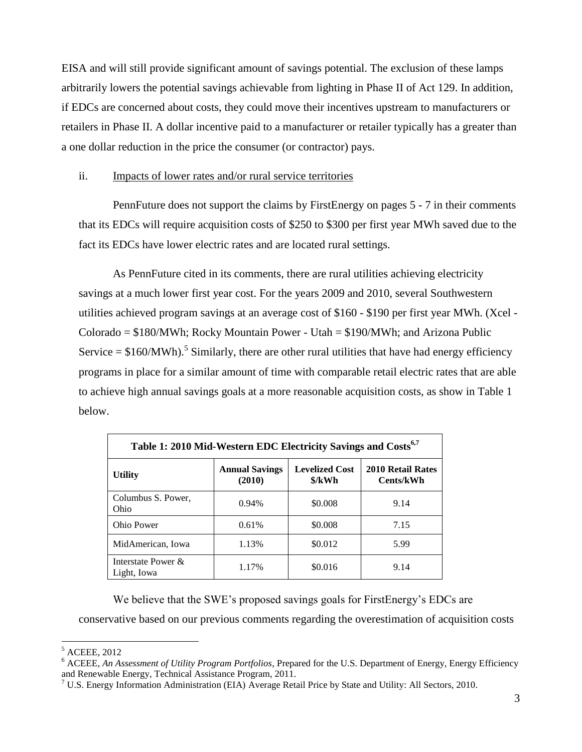EISA and will still provide significant amount of savings potential. The exclusion of these lamps arbitrarily lowers the potential savings achievable from lighting in Phase II of Act 129. In addition, if EDCs are concerned about costs, they could move their incentives upstream to manufacturers or retailers in Phase II. A dollar incentive paid to a manufacturer or retailer typically has a greater than a one dollar reduction in the price the consumer (or contractor) pays.

### ii. Impacts of lower rates and/or rural service territories

PennFuture does not support the claims by FirstEnergy on pages 5 - 7 in their comments that its EDCs will require acquisition costs of \$250 to \$300 per first year MWh saved due to the fact its EDCs have lower electric rates and are located rural settings.

As PennFuture cited in its comments, there are rural utilities achieving electricity savings at a much lower first year cost. For the years 2009 and 2010, several Southwestern utilities achieved program savings at an average cost of \$160 - \$190 per first year MWh. (Xcel -  $Colorado = $180/MWh$ ; Rocky Mountain Power - Utah = \$190/MWh; and Arizona Public Service  $= $160/MWh$ .<sup>5</sup> Similarly, there are other rural utilities that have had energy efficiency programs in place for a similar amount of time with comparable retail electric rates that are able to achieve high annual savings goals at a more reasonable acquisition costs, as show in Table 1 below.

| Table 1: 2010 Mid-Western EDC Electricity Savings and Costs <sup>6,7</sup> |                                 |                                 |                                       |
|----------------------------------------------------------------------------|---------------------------------|---------------------------------|---------------------------------------|
| <b>Utility</b>                                                             | <b>Annual Savings</b><br>(2010) | <b>Levelized Cost</b><br>\$/kWh | <b>2010 Retail Rates</b><br>Cents/kWh |
| Columbus S. Power,<br><b>Ohio</b>                                          | 0.94%                           | \$0.008                         | 9.14                                  |
| Ohio Power                                                                 | 0.61%                           | \$0.008                         | 7.15                                  |
| MidAmerican. Iowa                                                          | 1.13%                           | \$0.012                         | 5.99                                  |
| Interstate Power &<br>Light, Iowa                                          | 1.17%                           | \$0.016                         | 9.14                                  |

We believe that the SWE's proposed savings goals for FirstEnergy's EDCs are

conservative based on our previous comments regarding the overestimation of acquisition costs

 $\overline{a}$ <sup>5</sup> ACEEE, 2012

<sup>6</sup> ACEEE, *An Assessment of Utility Program Portfolios*, Prepared for the U.S. Department of Energy, Energy Efficiency and Renewable Energy, Technical Assistance Program, 2011.

 $7 \text{ U.S. Energy Information Administration (EIA) Average Retail Price by State and Utility: All Sections, 2010.}$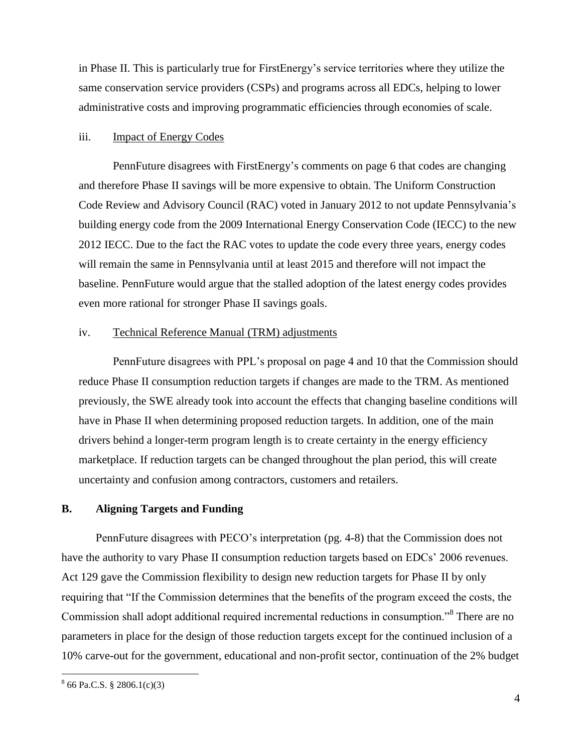in Phase II. This is particularly true for FirstEnergy's service territories where they utilize the same conservation service providers (CSPs) and programs across all EDCs, helping to lower administrative costs and improving programmatic efficiencies through economies of scale.

#### iii. Impact of Energy Codes

PennFuture disagrees with FirstEnergy's comments on page 6 that codes are changing and therefore Phase II savings will be more expensive to obtain. The Uniform Construction Code Review and Advisory Council (RAC) voted in January 2012 to not update Pennsylvania's building energy code from the 2009 International Energy Conservation Code (IECC) to the new 2012 IECC. Due to the fact the RAC votes to update the code every three years, energy codes will remain the same in Pennsylvania until at least 2015 and therefore will not impact the baseline. PennFuture would argue that the stalled adoption of the latest energy codes provides even more rational for stronger Phase II savings goals.

#### iv. Technical Reference Manual (TRM) adjustments

PennFuture disagrees with PPL's proposal on page 4 and 10 that the Commission should reduce Phase II consumption reduction targets if changes are made to the TRM. As mentioned previously, the SWE already took into account the effects that changing baseline conditions will have in Phase II when determining proposed reduction targets. In addition, one of the main drivers behind a longer-term program length is to create certainty in the energy efficiency marketplace. If reduction targets can be changed throughout the plan period, this will create uncertainty and confusion among contractors, customers and retailers.

### **B. Aligning Targets and Funding**

PennFuture disagrees with PECO's interpretation (pg. 4-8) that the Commission does not have the authority to vary Phase II consumption reduction targets based on EDCs' 2006 revenues. Act 129 gave the Commission flexibility to design new reduction targets for Phase II by only requiring that "If the Commission determines that the benefits of the program exceed the costs, the Commission shall adopt additional required incremental reductions in consumption."<sup>8</sup> There are no parameters in place for the design of those reduction targets except for the continued inclusion of a 10% carve-out for the government, educational and non-profit sector, continuation of the 2% budget

 $\overline{a}$ 

 $866$  Pa.C.S. § 2806.1(c)(3)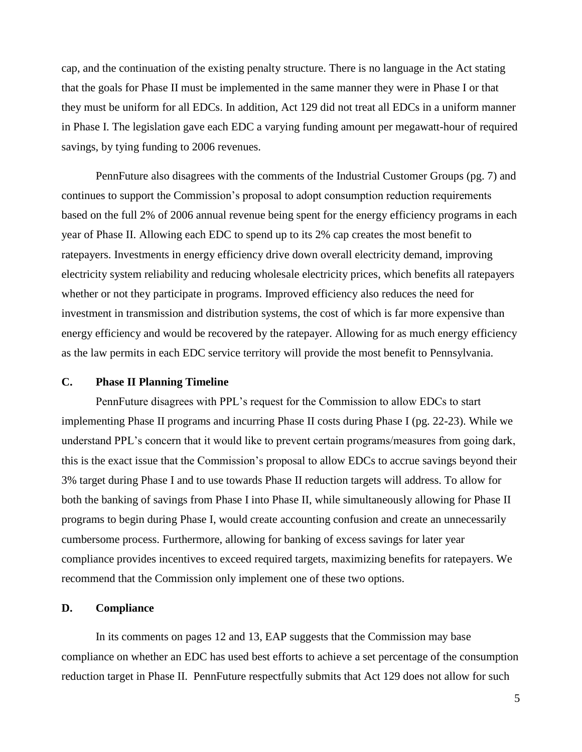cap, and the continuation of the existing penalty structure. There is no language in the Act stating that the goals for Phase II must be implemented in the same manner they were in Phase I or that they must be uniform for all EDCs. In addition, Act 129 did not treat all EDCs in a uniform manner in Phase I. The legislation gave each EDC a varying funding amount per megawatt-hour of required savings, by tying funding to 2006 revenues.

PennFuture also disagrees with the comments of the Industrial Customer Groups (pg. 7) and continues to support the Commission's proposal to adopt consumption reduction requirements based on the full 2% of 2006 annual revenue being spent for the energy efficiency programs in each year of Phase II. Allowing each EDC to spend up to its 2% cap creates the most benefit to ratepayers. Investments in energy efficiency drive down overall electricity demand, improving electricity system reliability and reducing wholesale electricity prices, which benefits all ratepayers whether or not they participate in programs. Improved efficiency also reduces the need for investment in transmission and distribution systems, the cost of which is far more expensive than energy efficiency and would be recovered by the ratepayer. Allowing for as much energy efficiency as the law permits in each EDC service territory will provide the most benefit to Pennsylvania.

### **C. Phase II Planning Timeline**

PennFuture disagrees with PPL's request for the Commission to allow EDCs to start implementing Phase II programs and incurring Phase II costs during Phase I (pg. 22-23). While we understand PPL's concern that it would like to prevent certain programs/measures from going dark, this is the exact issue that the Commission's proposal to allow EDCs to accrue savings beyond their 3% target during Phase I and to use towards Phase II reduction targets will address. To allow for both the banking of savings from Phase I into Phase II, while simultaneously allowing for Phase II programs to begin during Phase I, would create accounting confusion and create an unnecessarily cumbersome process. Furthermore, allowing for banking of excess savings for later year compliance provides incentives to exceed required targets, maximizing benefits for ratepayers. We recommend that the Commission only implement one of these two options.

### **D. Compliance**

In its comments on pages 12 and 13, EAP suggests that the Commission may base compliance on whether an EDC has used best efforts to achieve a set percentage of the consumption reduction target in Phase II. PennFuture respectfully submits that Act 129 does not allow for such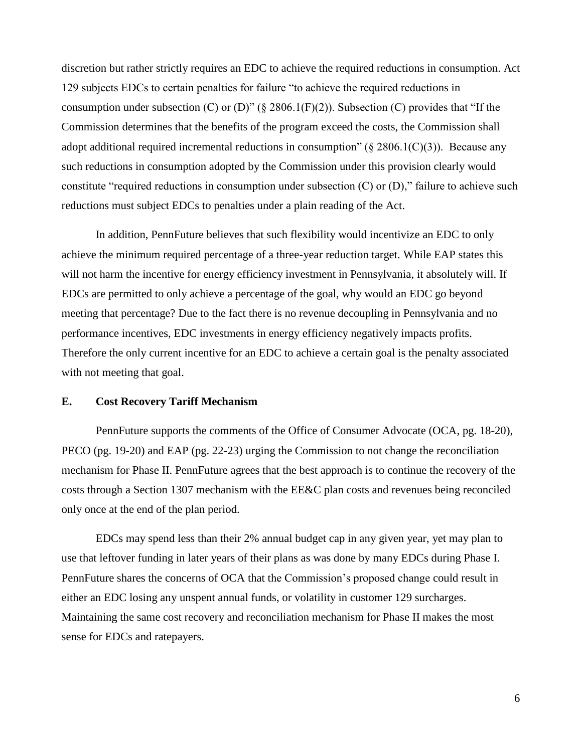discretion but rather strictly requires an EDC to achieve the required reductions in consumption. Act 129 subjects EDCs to certain penalties for failure "to achieve the required reductions in consumption under subsection  $(C)$  or  $(D)$ " (§ 2806.1(F)(2)). Subsection  $(C)$  provides that "If the Commission determines that the benefits of the program exceed the costs, the Commission shall adopt additional required incremental reductions in consumption" ( $\S 2806.1(C)(3)$ ). Because any such reductions in consumption adopted by the Commission under this provision clearly would constitute "required reductions in consumption under subsection  $(C)$  or  $(D)$ ," failure to achieve such reductions must subject EDCs to penalties under a plain reading of the Act.

In addition, PennFuture believes that such flexibility would incentivize an EDC to only achieve the minimum required percentage of a three-year reduction target. While EAP states this will not harm the incentive for energy efficiency investment in Pennsylvania, it absolutely will. If EDCs are permitted to only achieve a percentage of the goal, why would an EDC go beyond meeting that percentage? Due to the fact there is no revenue decoupling in Pennsylvania and no performance incentives, EDC investments in energy efficiency negatively impacts profits. Therefore the only current incentive for an EDC to achieve a certain goal is the penalty associated with not meeting that goal.

#### **E. Cost Recovery Tariff Mechanism**

PennFuture supports the comments of the Office of Consumer Advocate (OCA, pg. 18-20), PECO (pg. 19-20) and EAP (pg. 22-23) urging the Commission to not change the reconciliation mechanism for Phase II. PennFuture agrees that the best approach is to continue the recovery of the costs through a Section 1307 mechanism with the EE&C plan costs and revenues being reconciled only once at the end of the plan period.

EDCs may spend less than their 2% annual budget cap in any given year, yet may plan to use that leftover funding in later years of their plans as was done by many EDCs during Phase I. PennFuture shares the concerns of OCA that the Commission's proposed change could result in either an EDC losing any unspent annual funds, or volatility in customer 129 surcharges. Maintaining the same cost recovery and reconciliation mechanism for Phase II makes the most sense for EDCs and ratepayers.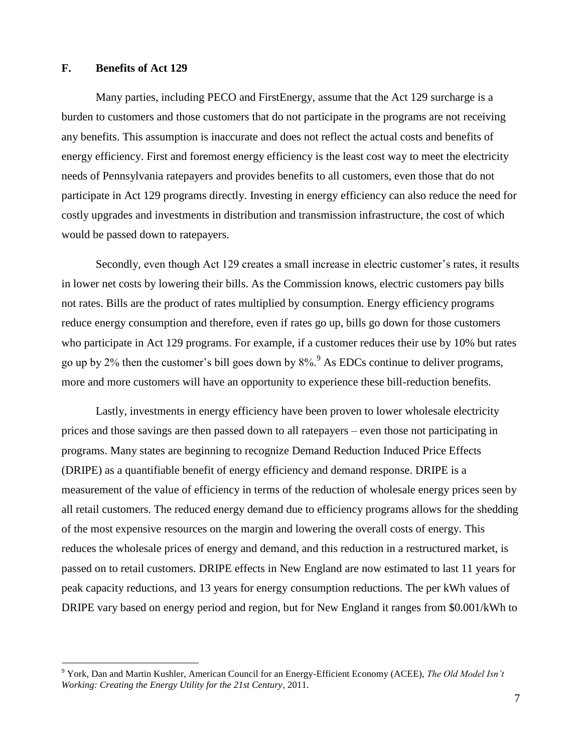### **F. Benefits of Act 129**

 $\overline{a}$ 

Many parties, including PECO and FirstEnergy, assume that the Act 129 surcharge is a burden to customers and those customers that do not participate in the programs are not receiving any benefits. This assumption is inaccurate and does not reflect the actual costs and benefits of energy efficiency. First and foremost energy efficiency is the least cost way to meet the electricity needs of Pennsylvania ratepayers and provides benefits to all customers, even those that do not participate in Act 129 programs directly. Investing in energy efficiency can also reduce the need for costly upgrades and investments in distribution and transmission infrastructure, the cost of which would be passed down to ratepayers.

Secondly, even though Act 129 creates a small increase in electric customer's rates, it results in lower net costs by lowering their bills. As the Commission knows, electric customers pay bills not rates. Bills are the product of rates multiplied by consumption. Energy efficiency programs reduce energy consumption and therefore, even if rates go up, bills go down for those customers who participate in Act 129 programs. For example, if a customer reduces their use by 10% but rates go up by 2% then the customer's bill goes down by  $8\%$ <sup>9</sup>. As EDCs continue to deliver programs, more and more customers will have an opportunity to experience these bill-reduction benefits.

Lastly, investments in energy efficiency have been proven to lower wholesale electricity prices and those savings are then passed down to all ratepayers – even those not participating in programs. Many states are beginning to recognize Demand Reduction Induced Price Effects (DRIPE) as a quantifiable benefit of energy efficiency and demand response. DRIPE is a measurement of the value of efficiency in terms of the reduction of wholesale energy prices seen by all retail customers. The reduced energy demand due to efficiency programs allows for the shedding of the most expensive resources on the margin and lowering the overall costs of energy. This reduces the wholesale prices of energy and demand, and this reduction in a restructured market, is passed on to retail customers. DRIPE effects in New England are now estimated to last 11 years for peak capacity reductions, and 13 years for energy consumption reductions. The per kWh values of DRIPE vary based on energy period and region, but for New England it ranges from \$0.001/kWh to

<sup>9</sup> York, Dan and Martin Kushler, American Council for an Energy-Efficient Economy (ACEE), *The Old Model Isn't Working: Creating the Energy Utility for the 21st Century*, 2011.